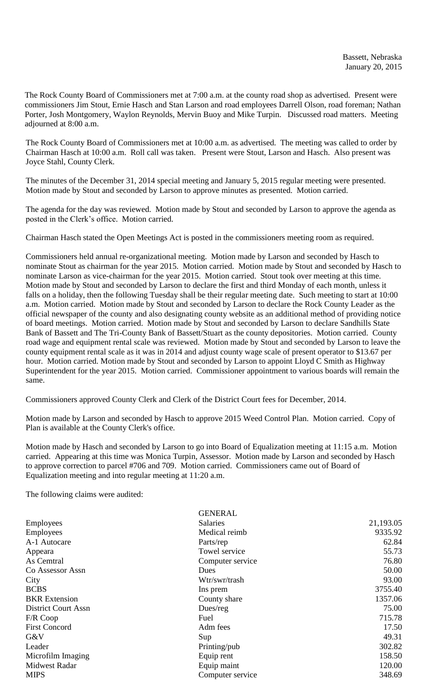The Rock County Board of Commissioners met at 7:00 a.m. at the county road shop as advertised. Present were commissioners Jim Stout, Ernie Hasch and Stan Larson and road employees Darrell Olson, road foreman; Nathan Porter, Josh Montgomery, Waylon Reynolds, Mervin Buoy and Mike Turpin. Discussed road matters. Meeting adjourned at 8:00 a.m.

The Rock County Board of Commissioners met at 10:00 a.m. as advertised. The meeting was called to order by Chairman Hasch at 10:00 a.m. Roll call was taken. Present were Stout, Larson and Hasch. Also present was Joyce Stahl, County Clerk.

The minutes of the December 31, 2014 special meeting and January 5, 2015 regular meeting were presented. Motion made by Stout and seconded by Larson to approve minutes as presented. Motion carried.

The agenda for the day was reviewed. Motion made by Stout and seconded by Larson to approve the agenda as posted in the Clerk's office. Motion carried.

Chairman Hasch stated the Open Meetings Act is posted in the commissioners meeting room as required.

Commissioners held annual re-organizational meeting. Motion made by Larson and seconded by Hasch to nominate Stout as chairman for the year 2015. Motion carried. Motion made by Stout and seconded by Hasch to nominate Larson as vice-chairman for the year 2015. Motion carried. Stout took over meeting at this time. Motion made by Stout and seconded by Larson to declare the first and third Monday of each month, unless it falls on a holiday, then the following Tuesday shall be their regular meeting date. Such meeting to start at 10:00 a.m. Motion carried. Motion made by Stout and seconded by Larson to declare the Rock County Leader as the official newspaper of the county and also designating county website as an additional method of providing notice of board meetings. Motion carried. Motion made by Stout and seconded by Larson to declare Sandhills State Bank of Bassett and The Tri-County Bank of Bassett/Stuart as the county depositories. Motion carried. County road wage and equipment rental scale was reviewed. Motion made by Stout and seconded by Larson to leave the county equipment rental scale as it was in 2014 and adjust county wage scale of present operator to \$13.67 per hour. Motion carried. Motion made by Stout and seconded by Larson to appoint Lloyd C Smith as Highway Superintendent for the year 2015. Motion carried. Commissioner appointment to various boards will remain the same.

Commissioners approved County Clerk and Clerk of the District Court fees for December, 2014.

Motion made by Larson and seconded by Hasch to approve 2015 Weed Control Plan. Motion carried. Copy of Plan is available at the County Clerk's office.

Motion made by Hasch and seconded by Larson to go into Board of Equalization meeting at 11:15 a.m. Motion carried. Appearing at this time was Monica Turpin, Assessor. Motion made by Larson and seconded by Hasch to approve correction to parcel #706 and 709. Motion carried. Commissioners came out of Board of Equalization meeting and into regular meeting at 11:20 a.m.

The following claims were audited:

|                            | <b>GENERAL</b>   |           |
|----------------------------|------------------|-----------|
| <b>Employees</b>           | <b>Salaries</b>  | 21,193.05 |
| Employees                  | Medical reimb    | 9335.92   |
| A-1 Autocare               | Parts/rep        | 62.84     |
| Appeara                    | Towel service    | 55.73     |
| As Cemtral                 | Computer service | 76.80     |
| Co Assessor Assn           | <b>Dues</b>      | 50.00     |
| City                       | Wtr/swr/trash    | 93.00     |
| <b>BCBS</b>                | Ins prem         | 3755.40   |
| <b>BKR</b> Extension       | County share     | 1357.06   |
| <b>District Court Assn</b> | Dues/reg         | 75.00     |
| F/R Coop                   | Fuel             | 715.78    |
| <b>First Concord</b>       | Adm fees         | 17.50     |
| G&V                        | Sup              | 49.31     |
| Leader                     | Printing/pub     | 302.82    |
| Microfilm Imaging          | Equip rent       | 158.50    |
| <b>Midwest Radar</b>       | Equip maint      | 120.00    |
| <b>MIPS</b>                | Computer service | 348.69    |
|                            |                  |           |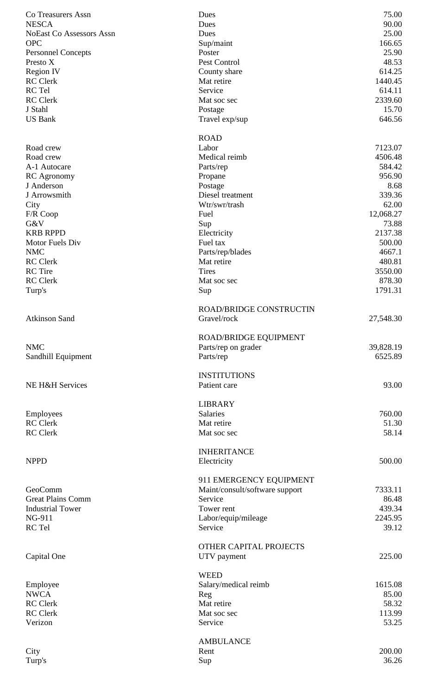| Co Treasurers Assn              | Dues                           | 75.00     |
|---------------------------------|--------------------------------|-----------|
| <b>NESCA</b>                    | Dues                           | 90.00     |
| <b>NoEast Co Assessors Assn</b> | Dues                           | 25.00     |
| <b>OPC</b>                      | Sup/maint                      | 166.65    |
| <b>Personnel Concepts</b>       | Poster                         | 25.90     |
| Presto X                        | Pest Control                   | 48.53     |
|                                 |                                | 614.25    |
| <b>Region IV</b>                | County share                   |           |
| <b>RC</b> Clerk                 | Mat retire                     | 1440.45   |
| RC Tel                          | Service                        | 614.11    |
| <b>RC</b> Clerk                 | Mat soc sec                    | 2339.60   |
| J Stahl                         | Postage                        | 15.70     |
| <b>US Bank</b>                  | Travel exp/sup                 | 646.56    |
|                                 |                                |           |
|                                 | <b>ROAD</b>                    |           |
| Road crew                       | Labor                          | 7123.07   |
| Road crew                       | Medical reimb                  | 4506.48   |
| A-1 Autocare                    |                                | 584.42    |
|                                 | Parts/rep                      |           |
| <b>RC</b> Agronomy              | Propane                        | 956.90    |
| J Anderson                      | Postage                        | 8.68      |
| J Arrowsmith                    | Diesel treatment               | 339.36    |
| City                            | Wtr/swr/trash                  | 62.00     |
| F/R Coop                        | Fuel                           | 12,068.27 |
| G&V                             | Sup                            | 73.88     |
| <b>KRB RPPD</b>                 | Electricity                    | 2137.38   |
| Motor Fuels Div                 | Fuel tax                       | 500.00    |
|                                 |                                |           |
| <b>NMC</b>                      | Parts/rep/blades               | 4667.1    |
| <b>RC</b> Clerk                 | Mat retire                     | 480.81    |
| <b>RC</b> Tire                  | <b>Tires</b>                   | 3550.00   |
| <b>RC</b> Clerk                 | Mat soc sec                    | 878.30    |
| Turp's                          | Sup                            | 1791.31   |
|                                 |                                |           |
|                                 | <b>ROAD/BRIDGE CONSTRUCTIN</b> |           |
| <b>Atkinson Sand</b>            | Gravel/rock                    | 27,548.30 |
|                                 |                                |           |
|                                 |                                |           |
|                                 | ROAD/BRIDGE EQUIPMENT          |           |
| <b>NMC</b>                      | Parts/rep on grader            | 39,828.19 |
| Sandhill Equipment              | Parts/rep                      | 6525.89   |
|                                 |                                |           |
|                                 | <b>INSTITUTIONS</b>            |           |
| NE H&H Services                 | Patient care                   | 93.00     |
|                                 |                                |           |
|                                 | <b>LIBRARY</b>                 |           |
| Employees                       | Salaries                       | 760.00    |
| <b>RC</b> Clerk                 |                                |           |
|                                 | Mat retire                     | 51.30     |
| <b>RC</b> Clerk                 | Mat soc sec                    |           |
|                                 |                                | 58.14     |
|                                 |                                |           |
|                                 | <b>INHERITANCE</b>             |           |
| <b>NPPD</b>                     | Electricity                    | 500.00    |
|                                 |                                |           |
|                                 |                                |           |
|                                 | 911 EMERGENCY EQUIPMENT        |           |
| GeoComm                         | Maint/consult/software support | 7333.11   |
| <b>Great Plains Comm</b>        | Service                        | 86.48     |
| <b>Industrial Tower</b>         | Tower rent                     | 439.34    |
| NG-911                          | Labor/equip/mileage            | 2245.95   |
| RC Tel                          | Service                        | 39.12     |
|                                 |                                |           |
|                                 | OTHER CAPITAL PROJECTS         |           |
| Capital One                     |                                | 225.00    |
|                                 | UTV payment                    |           |
|                                 |                                |           |
|                                 | <b>WEED</b>                    |           |
| Employee                        | Salary/medical reimb           | 1615.08   |
| <b>NWCA</b>                     | Reg                            | 85.00     |
| <b>RC</b> Clerk                 | Mat retire                     | 58.32     |
| <b>RC</b> Clerk                 | Mat soc sec                    | 113.99    |
| Verizon                         | Service                        | 53.25     |
|                                 |                                |           |
|                                 | <b>AMBULANCE</b>               |           |
|                                 | Rent                           | 200.00    |
| City                            |                                |           |
| Turp's                          | Sup                            | 36.26     |